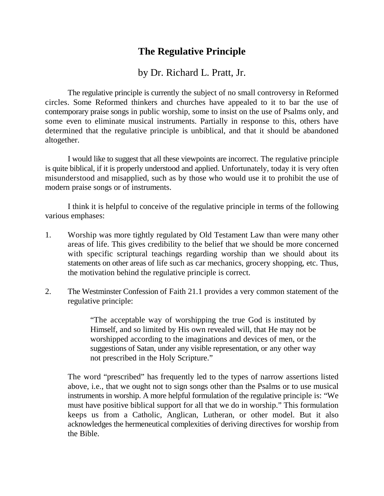## **The Regulative Principle**

## by Dr. Richard L. Pratt, Jr.

The regulative principle is currently the subject of no small controversy in Reformed circles. Some Reformed thinkers and churches have appealed to it to bar the use of contemporary praise songs in public worship, some to insist on the use of Psalms only, and some even to eliminate musical instruments. Partially in response to this, others have determined that the regulative principle is unbiblical, and that it should be abandoned altogether.

I would like to suggest that all these viewpoints are incorrect. The regulative principle is quite biblical, if it is properly understood and applied. Unfortunately, today it is very often misunderstood and misapplied, such as by those who would use it to prohibit the use of modern praise songs or of instruments.

I think it is helpful to conceive of the regulative principle in terms of the following various emphases:

- 1. Worship was more tightly regulated by Old Testament Law than were many other areas of life. This gives credibility to the belief that we should be more concerned with specific scriptural teachings regarding worship than we should about its statements on other areas of life such as car mechanics, grocery shopping, etc. Thus, the motivation behind the regulative principle is correct.
- 2. The Westminster Confession of Faith 21.1 provides a very common statement of the regulative principle:

"The acceptable way of worshipping the true God is instituted by Himself, and so limited by His own revealed will, that He may not be worshipped according to the imaginations and devices of men, or the suggestions of Satan, under any visible representation, or any other way not prescribed in the Holy Scripture."

The word "prescribed" has frequently led to the types of narrow assertions listed above, i.e., that we ought not to sign songs other than the Psalms or to use musical instruments in worship. A more helpful formulation of the regulative principle is: "We must have positive biblical support for all that we do in worship." This formulation keeps us from a Catholic, Anglican, Lutheran, or other model. But it also acknowledges the hermeneutical complexities of deriving directives for worship from the Bible.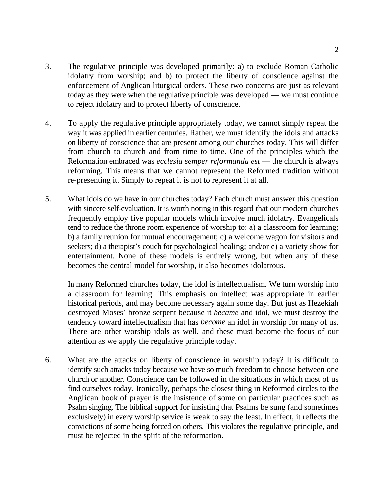- 3. The regulative principle was developed primarily: a) to exclude Roman Catholic idolatry from worship; and b) to protect the liberty of conscience against the enforcement of Anglican liturgical orders. These two concerns are just as relevant today as they were when the regulative principle was developed — we must continue to reject idolatry and to protect liberty of conscience.
- 4. To apply the regulative principle appropriately today, we cannot simply repeat the way it was applied in earlier centuries. Rather, we must identify the idols and attacks on liberty of conscience that are present among our churches today. This will differ from church to church and from time to time. One of the principles which the Reformation embraced was *ecclesia semper reformanda est* — the church is always reforming. This means that we cannot represent the Reformed tradition without re-presenting it. Simply to repeat it is not to represent it at all.
- 5. What idols do we have in our churches today? Each church must answer this question with sincere self-evaluation. It is worth noting in this regard that our modern churches frequently employ five popular models which involve much idolatry. Evangelicals tend to reduce the throne room experience of worship to: a) a classroom for learning; b) a family reunion for mutual encouragement; c) a welcome wagon for visitors and seekers; d) a therapist's couch for psychological healing; and/or e) a variety show for entertainment. None of these models is entirely wrong, but when any of these becomes the central model for worship, it also becomes idolatrous.

In many Reformed churches today, the idol is intellectualism. We turn worship into a classroom for learning. This emphasis on intellect was appropriate in earlier historical periods, and may become necessary again some day. But just as Hezekiah destroyed Moses' bronze serpent because it *became* and idol, we must destroy the tendency toward intellectualism that has *become* an idol in worship for many of us. There are other worship idols as well, and these must become the focus of our attention as we apply the regulative principle today.

6. What are the attacks on liberty of conscience in worship today? It is difficult to identify such attacks today because we have so much freedom to choose between one church or another. Conscience can be followed in the situations in which most of us find ourselves today. Ironically, perhaps the closest thing in Reformed circles to the Anglican book of prayer is the insistence of some on particular practices such as Psalm singing. The biblical support for insisting that Psalms be sung (and sometimes exclusively) in every worship service is weak to say the least. In effect, it reflects the convictions of some being forced on others. This violates the regulative principle, and must be rejected in the spirit of the reformation.